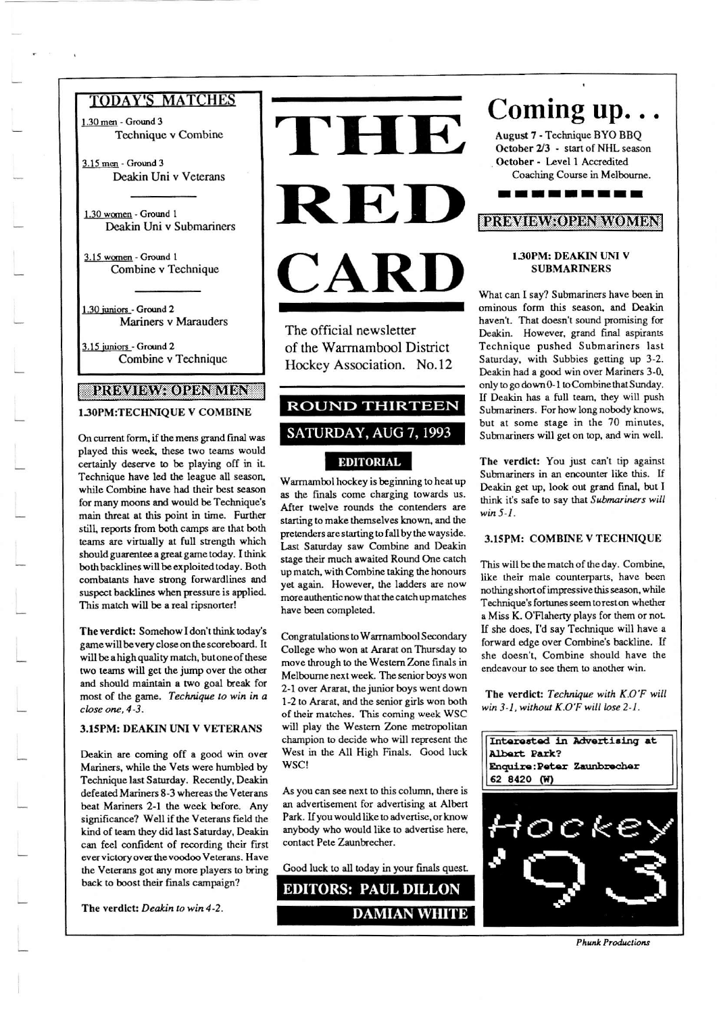1.30 men - Ground 3 Technique v Combine

3.15 men - Ground 3 Deakin Uni v Veterans

1.30 women - Ground 1 Deakin Uni v Submariners

3.15 women - Ground 1 Combine v Technique

1.30 juniors - Ground 2 Mariners v Marauders

3.15 juniors - Ground 2 Combine v Technique

# BRIAMIAVAIORANAIDNE

1.30PM:TECHNIQUE V COMBINE

On current form, if the mens grand final was played this week, these two teams would certainly deserve to be playing off in it. Technique have led the league all season, while Combine have had their best season for many moons and would be Technique's main threat at this point in time. Further still, reports from both camps are that both teams are virtually at full strength which should guarentee a great game today. I think both backlines will be exploited today. Both combatants have strong forwardlines and suspect backlines when pressure is applied. This match will be a real ripsnorter!

The verdict: Somehow I don't think today's game will be very close on the scoreboard. It will be a high quality match, but one of these two teams will get the jump over the other and should maintain a two goal break for most of the game. Technique to win in a close one, 4-3.

#### 3.15PM: DEAKIN UNI V VETERANS

Deakin are coming off a good win over Mariners, while the Vets were humbled by Technique last Saturday. Recently, Deakin defeated Mariners 8-3 whereas the Veterans beat Mariners 2-1 the week before. Any significance? Well if the Veterans field the kind of team they did last Saturday, Deakin can feel confident of recording their first ever victory over the voodoo Veterans. Have the Veterans got any more players to bring back to boost their finals campaign?

The verdict: Deakin to win 4-2.



The official newsletter of the Warrnambool District Hockey Association. No.12

# **ROUND THIRTEEN** SATURDAY, AUG 7, 1993 **EDITORIAL**

Warrnambol hockey is beginning to heat up as the finals come charging towards us. After twelve rounds the contenders are starting to make themselves known, and the pretenders are starting to fall by the wayside. Last Saturday saw Combine and Deakin stage their much awaited Round One catch up match, with Combine taking the honours yet again. However, the ladders are now more authentic now that the catch up matches have been completed.

Congratulations to Warrnambool Secondary College who won at Ararat on Thursday to move through to the Western Zone finals in Melbourne next week. The senior boys won 2-1 over Ararat, the junior boys went down 1-2 to Ararat, and the senior girls won both of their matches. This coming week WSC will play the Western Zone metropolitan champion to decide who will represent the West in the All High Finals. Good luck WSC!

As you can see next to this column, there is an advertisement for advertising at Albert Park. If you would like to advertise, or know anybody who would like to advertise here, contact Pete Zaunbrecher.

Good luck to all today in your finals quest.

**EDITORS: PAUL DILLON** 

# Coming up...

August 7 - Technique BYO BBO October 2/3 - start of NHL season October - Level 1 Accredited Coaching Course in Melbourne.

. . . . . . . .

# **PRAVIAVAOPENAVOMBN**

#### 1.30PM: DEAKIN UNI V **SUBMARINERS**

What can I say? Submariners have been in ominous form this season, and Deakin haven't. That doesn't sound promising for Deakin. However, grand final aspirants Technique pushed Submariners last Saturday, with Subbies getting up 3-2. Deakin had a good win over Mariners 3-0, only to go down 0-1 to Combine that Sunday. If Deakin has a full team, they will push Submariners. For how long nobody knows, but at some stage in the 70 minutes, Submariners will get on top, and win well.

The verdict: You just can't tip against Submariners in an encounter like this. If Deakin get up, look out grand final, but I think it's safe to say that Submariners will win  $5-1$ .

#### 3.15PM: COMBINE V TECHNIQUE

This will be the match of the day. Combine, like their male counterparts, have been nothing short of impressive this season, while Technique's fortunes seem to rest on whether a Miss K. O'Flaherty plays for them or not. If she does, I'd say Technique will have a forward edge over Combine's backline. If she doesn't, Combine should have the endeavour to see them to another win.

The verdict: Technique with K.O'F will win 3-1, without K.O'F will lose 2-1.



**Phunk Productions**